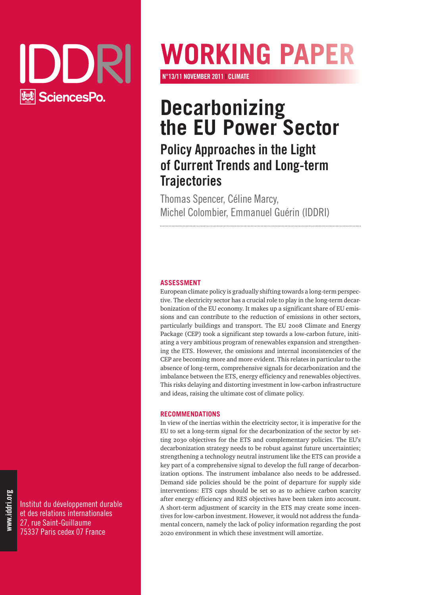

# **Working paper**

**n°13/11 NOVEMBER 2011 | climate**

# **Decarbonizing the EU Power Sector**

# **Policy Approaches in the Light of Current Trends and Long-term Trajectories**

Thomas Spencer, Céline Marcy, Michel Colombier, Emmanuel Guérin (IDDRI)

#### **ASSESSMENT**

European climate policy is gradually shifting towards a long-term perspective. The electricity sector has a crucial role to play in the long-term decarbonization of the EU economy. It makes up a significant share of EU emissions and can contribute to the reduction of emissions in other sectors, particularly buildings and transport. The EU 2008 Climate and Energy Package (CEP) took a significant step towards a low-carbon future, initiating a very ambitious program of renewables expansion and strengthening the ETS. However, the omissions and internal inconsistencies of the CEP are becoming more and more evident. This relates in particular to the absence of long-term, comprehensive signals for decarbonization and the imbalance between the ETS, energy efficiency and renewables objectives. This risks delaying and distorting investment in low-carbon infrastructure and ideas, raising the ultimate cost of climate policy.

#### **RECOMMENDATIONS**

In view of the inertias within the electricity sector, it is imperative for the EU to set a long-term signal for the decarbonization of the sector by setting 2030 objectives for the ETS and complementary policies. The EU's decarbonization strategy needs to be robust against future uncertainties; strengthening a technology neutral instrument like the ETS can provide a key part of a comprehensive signal to develop the full range of decarbonization options. The instrument imbalance also needs to be addressed. Demand side policies should be the point of departure for supply side interventions: ETS caps should be set so as to achieve carbon scarcity after energy efficiency and RES objectives have been taken into account. A short-term adjustment of scarcity in the ETS may create some incentives for low-carbon investment. However, it would not address the fundamental concern, namely the lack of policy information regarding the post 2020 environment in which these investment will amortize.

Institut du développement durable et des relations internationales 27, rue Saint-Guillaume 75337 Paris cedex 07 France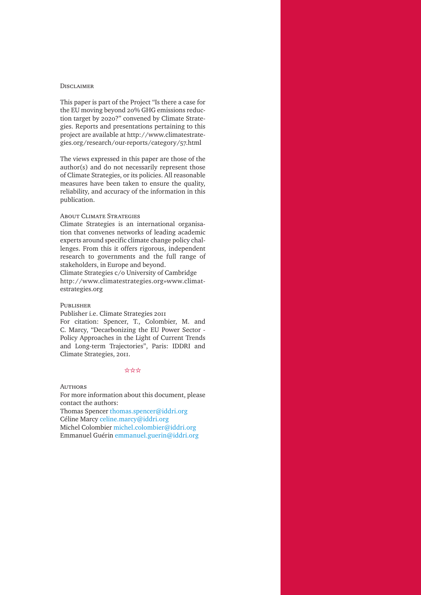#### **DISCLAIMER**

This paper is part of the Project "Is there a case for the EU moving beyond 20% GHG emissions reduction target by 2020?" convened by Climate Strategies. Reports and presentations pertaining to this project are available at http://www.climatestrategies.org/research/our-reports/category/57.html

The views expressed in this paper are those of the author(s) and do not necessarily represent those of Climate Strategies, or its policies. All reasonable measures have been taken to ensure the quality, reliability, and accuracy of the information in this publication.

#### About Climate Strategies

Climate Strategies is an international organisation that convenes networks of leading academic experts around specific climate change policy challenges. From this it offers rigorous, independent research to governments and the full range of stakeholders, in Europe and beyond.

Climate Strategies c/o University of Cambridge http://www.climatestrategies.org»www.climatestrategies.org

#### Publisher

Publisher i.e. Climate Strategies 2011

For citation: Spencer, T., Colombier, M. and C. Marcy, "Decarbonizing the EU Power Sector - Policy Approaches in the Light of Current Trends and Long-term Trajectories", Paris: IDDRI and Climate Strategies, 2011.

#### $*$

**AUTHORS** 

For more information about this document, please contact the authors:

Thomas Spencer thomas.spencer@iddri.org Céline Marcy celine.marcy@iddri.org Michel Colombier michel.colombier@iddri.org Emmanuel Guérin emmanuel.guerin@iddri.org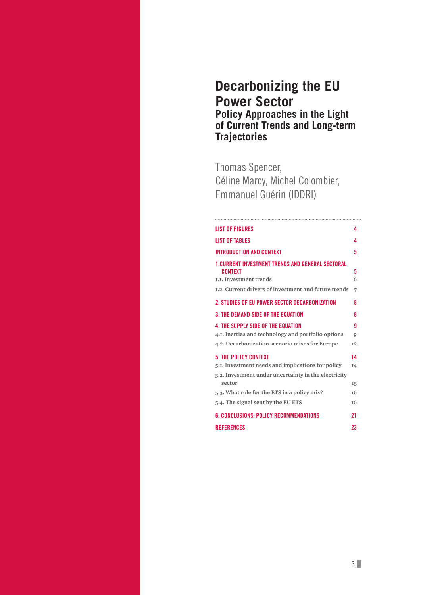## **Decarbonizing the EU Power Sector Policy Approaches in the Light of Current Trends and Long-term Trajectories**

Thomas Spencer, Céline Marcy, Michel Colombier, Emmanuel Guérin (IDDRI)

| <b>LIST OF FIGURES</b>                                  | 4              |
|---------------------------------------------------------|----------------|
| <b>LIST OF TABLES</b>                                   | 4              |
| <b>INTRODUCTION AND CONTEXT</b>                         | 5              |
| <b>1.CURRENT INVESTMENT TRENDS AND GENERAL SECTORAL</b> |                |
| <b>CONTEXT</b>                                          | 5              |
| LL Investment trends                                    | 6              |
| 1.2. Current drivers of investment and future trends    | 7              |
| 2. STUDIES OF EU POWER SECTOR DECARBONIZATION           | 8              |
| <b>3. THE DEMAND SIDE OF THE EQUATION</b>               | 8              |
| <b>4 THE SUPPLY SIDE OF THE FOUATION</b>                | g              |
| 4.1. Inertias and technology and portfolio options      | 9              |
| 4.2. Decarbonization scenario mixes for Europe          | T <sub>2</sub> |
| <b>5. THE POLICY CONTEXT</b>                            | 14             |
| 5.1. Investment needs and implications for policy       | <b>I4</b>      |
| 5.2. Investment under uncertainty in the electricity    |                |
| sector                                                  | 15             |
| 5.3. What role for the ETS in a policy mix?             | т6             |
| 5.4. The signal sent by the EU ETS                      | <b>T6</b>      |
| <b>6. CONCLUSIONS: POLICY RECOMMENDATIONS</b>           | 21             |
| <b>REFERENCES</b>                                       | 23             |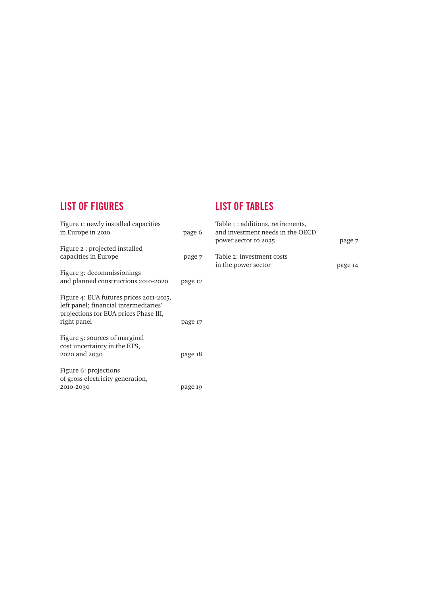## **List of Figures**

### **List of Tables**

| Figure 1: newly installed capacities<br>in Europe in 2010                                     | page 6  | Table $I :$ additions, retirements,<br>and investment needs in the OECD<br>power sector to 2035 |         |
|-----------------------------------------------------------------------------------------------|---------|-------------------------------------------------------------------------------------------------|---------|
| Figure 2 : projected installed<br>capacities in Europe                                        | page 7  | Table 2: investment costs                                                                       | page 7  |
| Figure 3: decommissionings                                                                    |         | in the power sector                                                                             | page 14 |
| and planned constructions 2010-2020<br>Figure 4: EUA futures prices 2011-2015,                | page 12 |                                                                                                 |         |
| left panel; financial intermediaries'<br>projections for EUA prices Phase III,<br>right panel | page 17 |                                                                                                 |         |
| Figure 5: sources of marginal<br>cost uncertainty in the ETS,<br>2020 and 2030                | page 18 |                                                                                                 |         |
| Figure 6: projections<br>of gross electricity generation,<br>2010-2030                        | page 19 |                                                                                                 |         |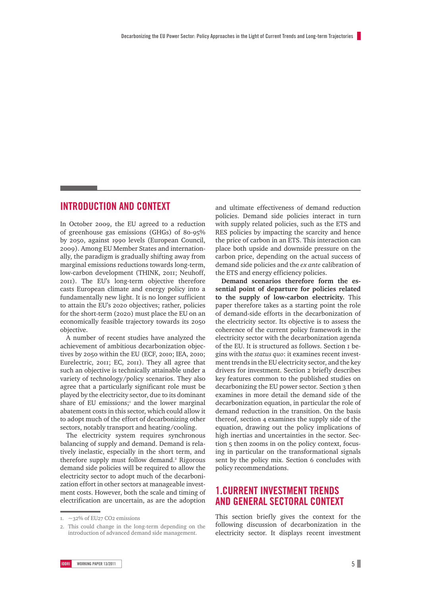#### **Introduction AND CONTEXT**

In October 2009, the EU agreed to a reduction of greenhouse gas emissions (GHGs) of 80-95% by 2050, against 1990 levels (European Council, 2009). Among EU Member States and internationally, the paradigm is gradually shifting away from marginal emissions reductions towards long-term, low-carbon development (THINK, 2011; Neuhoff, 2011). The EU's long-term objective therefore casts European climate and energy policy into a fundamentally new light. It is no longer sufficient to attain the EU's 2020 objectives; rather, policies for the short-term (2020) must place the EU on an economically feasible trajectory towards its 2050 objective.

A number of recent studies have analyzed the achievement of ambitious decarbonization objectives by 2050 within the EU (ECF, 2010; IEA, 2010; Eurelectric, 2011; EC, 2011). They all agree that such an objective is technically attainable under a variety of technology/policy scenarios. They also agree that a particularly significant role must be played by the electricity sector, due to its dominant share of EU emissions; $<sup>T</sup>$  and the lower marginal</sup> abatement costs in this sector, which could allow it to adopt much of the effort of decarbonizing other sectors, notably transport and heating/cooling.

The electricity system requires synchronous balancing of supply and demand. Demand is relatively inelastic, especially in the short term, and therefore supply must follow demand.<sup>2</sup> Rigorous demand side policies will be required to allow the electricity sector to adopt much of the decarbonization effort in other sectors at manageable investment costs. However, both the scale and timing of electrification are uncertain, as are the adoption

and ultimate effectiveness of demand reduction policies. Demand side policies interact in turn with supply related policies, such as the ETS and RES policies by impacting the scarcity and hence the price of carbon in an ETS. This interaction can place both upside and downside pressure on the carbon price, depending on the actual success of demand side policies and the *ex ante* calibration of the ETS and energy efficiency policies.

**Demand scenarios therefore form the essential point of departure for policies related to the supply of low-carbon electricity.** This paper therefore takes as a starting point the role of demand-side efforts in the decarbonization of the electricity sector. Its objective is to assess the coherence of the current policy framework in the electricity sector with the decarbonization agenda of the EU. It is structured as follows. Section 1 begins with the *status quo*: it examines recent investment trends in the EU electricity sector, and the key drivers for investment. Section 2 briefly describes key features common to the published studies on decarbonizing the EU power sector. Section 3 then examines in more detail the demand side of the decarbonization equation, in particular the role of demand reduction in the transition. On the basis thereof, section 4 examines the supply side of the equation, drawing out the policy implications of high inertias and uncertainties in the sector. Section 5 then zooms in on the policy context, focusing in particular on the transformational signals sent by the policy mix. Section 6 concludes with policy recommendations.

#### **1.Current investment trends and general sectoral context**

This section briefly gives the context for the following discussion of decarbonization in the electricity sector. It displays recent investment

<sup>1.</sup>  $\sim$  32% of EU27 CO2 emissions

<sup>2.</sup> This could change in the long-term depending on the introduction of advanced demand side management.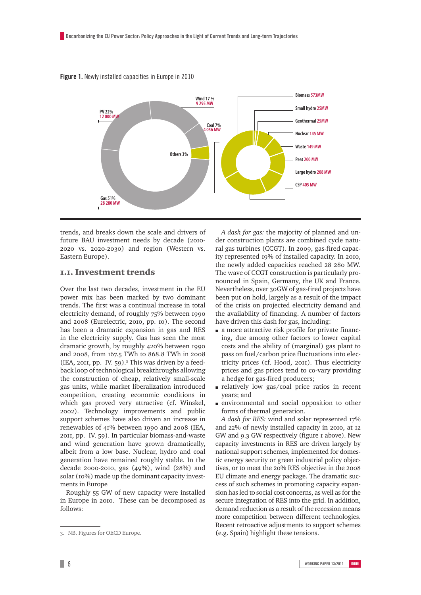

#### **Figure 1.** Newly installed capacities in Europe in 2010

trends, and breaks down the scale and drivers of future BAU investment needs by decade (2010- 2020 vs. 2020-2030) and region (Western vs. Eastern Europe).

#### 1.1. Investment trends

Over the last two decades, investment in the EU power mix has been marked by two dominant trends. The first was a continual increase in total electricity demand, of roughly 75% between 1990 and 2008 (Eurelectric, 2010, pp. 10). The second has been a dramatic expansion in gas and RES in the electricity supply. Gas has seen the most dramatic growth, by roughly 420% between 1990 and 2008, from 167.5 TWh to 868.8 TWh in 2008 (IEA, 2011, pp. IV. 59).3 This was driven by a feedback loop of technological breakthroughs allowing the construction of cheap, relatively small-scale gas units, while market liberalization introduced competition, creating economic conditions in which gas proved very attractive (cf. Winskel, 2002). Technology improvements and public support schemes have also driven an increase in renewables of 41% between 1990 and 2008 (IEA, 2011, pp. IV. 59). In particular biomass-and-waste and wind generation have grown dramatically, albeit from a low base. Nuclear, hydro and coal generation have remained roughly stable. In the decade 2000-2010, gas (49%), wind (28%) and solar (10%) made up the dominant capacity investments in Europe

Roughly 55 GW of new capacity were installed in Europe in 2010. These can be decomposed as follows:

*A dash for gas:* the majority of planned and under construction plants are combined cycle natural gas turbines (CCGT). In 2009, gas-fired capacity represented 19% of installed capacity. In 2010, the newly added capacities reached 28 280 MW. The wave of CCGT construction is particularly pronounced in Spain, Germany, the UK and France. Nevertheless, over 30GW of gas-fired projects have been put on hold, largely as a result of the impact of the crisis on projected electricity demand and the availability of financing. A number of factors have driven this dash for gas, including:

- m a more attractive risk profile for private financing, due among other factors to lower capital costs and the ability of (marginal) gas plant to pass on fuel/carbon price fluctuations into electricity prices (cf. Hood, 2011). Thus electricity prices and gas prices tend to co-vary providing a hedge for gas-fired producers;
- $\blacksquare$  relatively low gas/coal price ratios in recent years; and
- m environmental and social opposition to other forms of thermal generation.

*A dash for RES:* wind and solar represented 17% and 22% of newly installed capacity in 2010, at 12 GW and 9.3 GW respectively (figure 1 above). New capacity investments in RES are driven largely by national support schemes, implemented for domestic energy security or green industrial policy objectives, or to meet the 20% RES objective in the 2008 EU climate and energy package. The dramatic success of such schemes in promoting capacity expansion has led to social cost concerns, as well as for the secure integration of RES into the grid. In addition, demand reduction as a result of the recession means more competition between different technologies. Recent retroactive adjustments to support schemes (e.g. Spain) highlight these tensions.

<sup>3.</sup> NB. Figures for OECD Europe.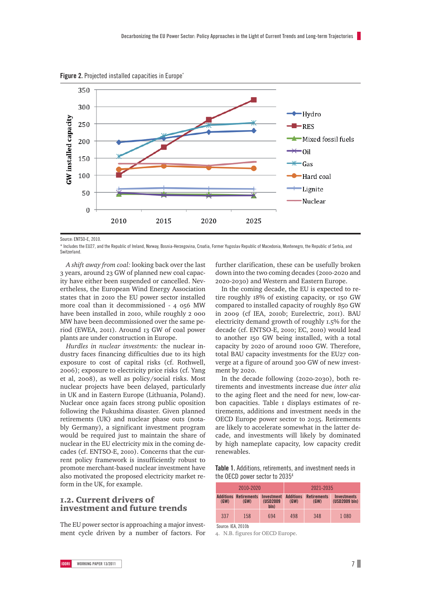

**Figure 2.** Projected installed capacities in Europe<sup>\*</sup>

Source: ENTSO-E, 2010.

\* Includes the EU27, and the Republic of Ireland, Norway, Bosnia-Herzegovina, Croatia, Former Yugoslav Republic of Macedonia, Montenegro, the Republic of Serbia, and **Switzerland** 

*A shift away from coal:* looking back over the last 3 years, around 23 GW of planned new coal capacity have either been suspended or cancelled. Nevertheless, the European Wind Energy Association states that in 2010 the EU power sector installed more coal than it decommissioned - 4 056 MW have been installed in 2010, while roughly 2 000 MW have been decommissioned over the same period (EWEA, 2011). Around 13 GW of coal power plants are under construction in Europe.

*Hurdles in nuclear investments:* the nuclear industry faces financing difficulties due to its high exposure to cost of capital risks (cf. Rothwell, 2006); exposure to electricity price risks (cf. Yang et al, 2008), as well as policy/social risks. Most nuclear projects have been delayed, particularly in UK and in Eastern Europe (Lithuania, Poland). Nuclear once again faces strong public oposition following the Fukushima disaster. Given planned retirements (UK) and nuclear phase outs (notably Germany), a significant investment program would be required just to maintain the share of nuclear in the EU electricity mix in the coming decades (cf. ENTSO-E, 2010). Concerns that the current policy framework is insufficiently robust to promote merchant-based nuclear investment have also motivated the proposed electricity market reform in the UK, for example.

#### 1.2. C urrent drivers of investment and future trends

The EU power sector is approaching a major investment cycle driven by a number of factors. For further clarification, these can be usefully broken down into the two coming decades (2010-2020 and 2020-2030) and Western and Eastern Europe.

In the coming decade, the EU is expected to retire roughly 18% of existing capacity, or 150 GW compared to installed capacity of roughly 850 GW in 2009 (cf IEA, 2010b; Eurelectric, 2011). BAU electricity demand growth of roughly 1.5% for the decade (cf. ENTSO-E, 2010; EC, 2010) would lead to another 150 GW being installed, with a total capacity by 2020 of around 1000 GW. Therefore, total BAU capacity investments for the EU27 converge at a figure of around 300 GW of new investment by 2020.

In the decade following (2020-2030), both retirements and investments increase due *inter alia*  to the aging fleet and the need for new, low-carbon capacities. Table 1 displays estimates of retirements, additions and investment needs in the OECD Europe power sector to 2035. Retirements are likely to accelerate somewhat in the latter decade, and investments will likely by dominated by high nameplate capacity, low capacity credit renewables.

**Table 1.** Additions, retirements, and investment needs in the OECD power sector to 20354

| 2010-2020 |                                      |                                 | 2021-2035                |                            |                                     |
|-----------|--------------------------------------|---------------------------------|--------------------------|----------------------------|-------------------------------------|
| (GW)      | <b>Additions Retirements</b><br>(GW) | Investment<br>(USD2009)<br>h(n) | <b>Additions</b><br>(GW) | <b>Retirements</b><br>(GW) | <b>Investments</b><br>(USD2009 bln) |
| 337       | 158                                  | 694                             | 498                      | 348                        | 1 0 8 0                             |

Source: IFA, 2010b

4. N.B. figures for OECD Europe.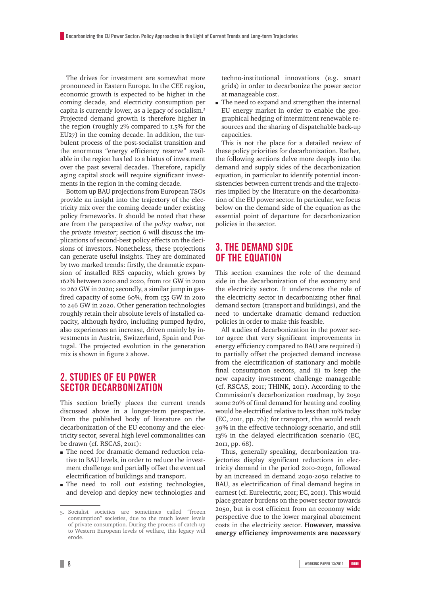The drives for investment are somewhat more pronounced in Eastern Europe. In the CEE region, economic growth is expected to be higher in the coming decade, and electricity consumption per capita is currently lower, as a legacy of socialism.5 Projected demand growth is therefore higher in the region (roughly 2% compared to 1.5% for the EU27) in the coming decade. In addition, the turbulent process of the post-socialist transition and the enormous "energy efficiency reserve" available in the region has led to a hiatus of investment over the past several decades. Therefore, rapidly aging capital stock will require significant investments in the region in the coming decade.

Bottom up BAU projections from European TSOs provide an insight into the trajectory of the electricity mix over the coming decade under existing policy frameworks. It should be noted that these are from the perspective of the *policy maker*, not the *private investor*; section 6 will discuss the implications of second-best policy effects on the decisions of investors. Nonetheless, these projections can generate useful insights. They are dominated by two marked trends: firstly, the dramatic expansion of installed RES capacity, which grows by 162% between 2010 and 2020, from 101 GW in 2010 to 262 GW in 2020; secondly, a similar jump in gasfired capacity of some 60%, from 155 GW in 2010 to 246 GW in 2020. Other generation technologies roughly retain their absolute levels of installed capacity, although hydro, including pumped hydro, also experiences an increase, driven mainly by investments in Austria, Switzerland, Spain and Portugal. The projected evolution in the generation mix is shown in figure 2 above.

#### **2. Studies of EU power sector decarbonization**

This section briefly places the current trends discussed above in a longer-term perspective. From the published body of literature on the decarbonization of the EU economy and the electricity sector, several high level commonalities can be drawn (cf. RSCAS, 2011):

- m The need for dramatic demand reduction relative to BAU levels, in order to reduce the investment challenge and partially offset the eventual electrification of buildings and transport.
- m The need to roll out existing technologies, and develop and deploy new technologies and

techno-institutional innovations (e.g. smart grids) in order to decarbonize the power sector at manageable cost.

 $\blacksquare$  The need to expand and strengthen the internal EU energy market in order to enable the geographical hedging of intermittent renewable resources and the sharing of dispatchable back-up capacities.

This is not the place for a detailed review of these policy priorities for decarbonization. Rather, the following sections delve more deeply into the demand and supply sides of the decarbonization equation, in particular to identify potential inconsistencies between current trends and the trajectories implied by the literature on the decarbonization of the EU power sector. In particular, we focus below on the demand side of the equation as the essential point of departure for decarbonization policies in the sector.

#### **3. The demand side of the equation**

This section examines the role of the demand side in the decarbonization of the economy and the electricity sector. It underscores the role of the electricity sector in decarbonizing other final demand sectors (transport and buildings), and the need to undertake dramatic demand reduction policies in order to make this feasible.

All studies of decarbonization in the power sector agree that very significant improvements in energy efficiency compared to BAU are required i) to partially offset the projected demand increase from the electrification of stationary and mobile final consumption sectors, and ii) to keep the new capacity investment challenge manageable (cf. RSCAS, 2011; THINK, 2011). According to the Commission's decarbonization roadmap, by 2050 some 20% of final demand for heating and cooling would be electrified relative to less than 10% today (EC, 2011, pp. 76); for transport, this would reach 39% in the effective technology scenario, and still 13% in the delayed electrification scenario (EC, 2011, pp. 68).

Thus, generally speaking, decarbonization trajectories display significant reductions in electricity demand in the period 2010-2030, followed by an increased in demand 2030-2050 relative to BAU, as electrification of final demand begins in earnest (cf. Eurelectric, 2011; EC, 2011). This would place greater burdens on the power sector towards 2050, but is cost efficient from an economy wide perspective due to the lower marginal abatement costs in the electricity sector. **However, massive energy efficiency improvements are necessary** 

<sup>5.</sup> Socialist societies are sometimes called "frozen consumption" societies, due to the much lower levels of private consumption. During the process of catch-up to Western European levels of welfare, this legacy will erode.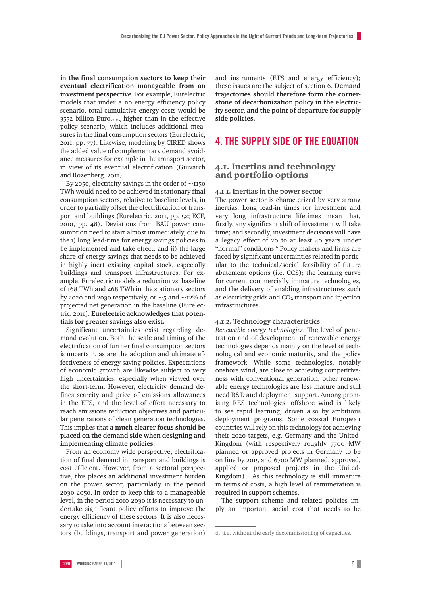**in the final consumption sectors to keep their eventual electrification manageable from an investment perspective**. For example, Eurelectric models that under a no energy efficiency policy scenario, total cumulative energy costs would be  $3552$  billion Euro<sub>2005</sub> higher than in the effective policy scenario, which includes additional measures in the final consumption sectors (Eurelectric, 2011, pp. 77). Likewise, modeling by CIRED shows the added value of complementary demand avoidance measures for example in the transport sector, in view of its eventual electrification (Guivarch and Rozenberg, 2011).

By 2050, electricity savings in the order of  $\sim$ 1150 TWh would need to be achieved in stationary final consumption sectors, relative to baseline levels, in order to partially offset the electrification of transport and buildings (Eurelectric, 2011, pp. 52; ECF, 2010, pp. 48). Deviations from BAU power consumption need to start almost immediately, due to the i) long lead-time for energy savings policies to be implemented and take effect, and ii) the large share of energy savings that needs to be achieved in highly inert existing capital stock, especially buildings and transport infrastructures. For example, Eurelectric models a reduction vs. baseline of 168 TWh and 468 TWh in the stationary sectors by 2020 and 2030 respectively, or  $\sim$  5 and  $\sim$ 12% of projected net generation in the baseline (Eurelectric, 2011). **Eurelectric acknowledges that potentials for greater savings also exist.** 

Significant uncertainties exist regarding demand evolution. Both the scale and timing of the electrification of further final consumption sectors is uncertain, as are the adoption and ultimate effectiveness of energy saving policies. Expectations of economic growth are likewise subject to very high uncertainties, especially when viewed over the short-term. However, electricity demand defines scarcity and price of emissions allowances in the ETS, and the level of effort necessary to reach emissions reduction objectives and particular penetrations of clean generation technologies. This implies that **a much clearer focus should be placed on the demand side when designing and implementing climate policies.** 

From an economy wide perspective, electrification of final demand in transport and buildings is cost efficient. However, from a sectoral perspective, this places an additional investment burden on the power sector, particularly in the period 2030-2050. In order to keep this to a manageable level, in the period 2010-2030 it is necessary to undertake significant policy efforts to improve the energy efficiency of these sectors. It is also necessary to take into account interactions between sectors (buildings, transport and power generation)

and instruments (ETS and energy efficiency); these issues are the subject of section 6. **Demand trajectories should therefore form the cornerstone of decarbonization policy in the electricity sector, and the point of departure for supply side policies.** 

#### **4. The supply side of the equation**

#### 4.1. Inertias and technology and portfolio options

#### **4.1.1. Inertias in the power sector**

The power sector is characterized by very strong inertias. Long lead-in times for investment and very long infrastructure lifetimes mean that, firstly, any significant shift of investment will take time; and secondly, investment decisions will have a legacy effect of 20 to at least 40 years under "normal" conditions.<sup>6</sup> Policy makers and firms are faced by significant uncertainties related in particular to the technical/social feasibility of future abatement options (i.e. CCS); the learning curve for current commercially immature technologies, and the delivery of enabling infrastructures such as electricity grids and  $CO<sub>2</sub>$  transport and injection infrastructures.

#### **4.1.2. Technology characteristics**

*Renewable energy technologies*. The level of penetration and of development of renewable energy technologies depends mainly on the level of technological and economic maturity, and the policy framework. While some technologies, notably onshore wind, are close to achieving competitiveness with conventional generation, other renewable energy technologies are less mature and still need R&D and deployment support. Among promising RES technologies, offshore wind is likely to see rapid learning, driven also by ambitious deployment programs. Some coastal European countries will rely on this technology for achieving their 2020 targets, e.g. Germany and the United-Kingdom (with respectively roughly 7700 MW planned or approved projects in Germany to be on line by 2015 and 6700 MW planned, approved, applied or proposed projects in the United-Kingdom). As this technology is still immature in terms of costs, a high level of remuneration is required in support schemes.

The support scheme and related policies imply an important social cost that needs to be

<sup>6.</sup> i.e. without the early decommissioning of capacities.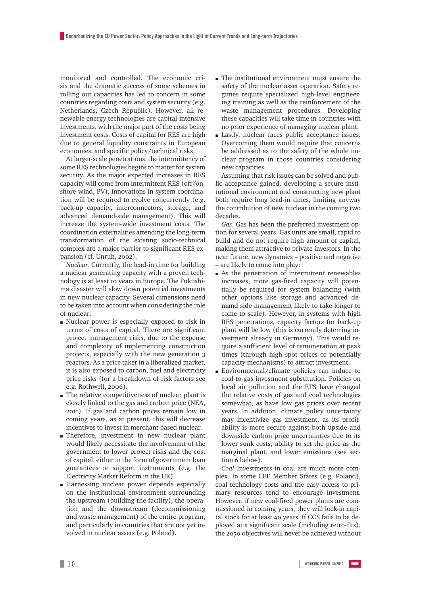monitored and controlled. The economic crisis and the dramatic success of some schemes in rolling out capacities has led to concern in some countries regarding costs and system security (e.g. Netherlands, Czech Republic). However, all renewable energy technologies are capital-intensive investments, with the major part of the costs being investment costs. Costs of capital for RES are high due to general liquidity constraints in European economies, and specific policy/technical risks.

At larger-scale penetrations, the intermittency of some RES technologies begins to matter for system security. As the major expected increases in RES capacity will come from intermittent RES (off/onshore wind, PV), innovations in system coordination will be required to evolve concurrently (e.g. back-up capacity, interconnectors, storage, and advanced demand-side management). This will increase the system-wide investment costs. The coordination externalities attending the long-term transformation of the existing socio-technical complex are a major barrier to significant RES expansion (cf. Unruh, 2002).

*Nuclear.* Currently, the lead-in time for building a nuclear generating capacity with a proven technology is at least 10 years in Europe. The Fukushima disaster will slow down potential investments in new nuclear capacity. Several dimensions need to be taken into account when considering the role of nuclear:

- m Nuclear power is especially exposed to risk in terms of costs of capital. There are significant project management risks, due to the expense and complexity of implementing construction projects, especially with the new generation 3 reactors. As a price taker in a liberalized market, it is also exposed to carbon, fuel and electricity price risks (for a breakdown of risk factors see e.g. Rothwell, 2006).
- m The relative competitiveness of nuclear plant is closely linked to the gas and carbon price (NEA, 2011). If gas and carbon prices remain low in coming years, as at present, this will decrease incentives to invest in merchant based nuclear.
- m Therefore, investment in new nuclear plant would likely necessitate the involvement of the government to lower project risks and the cost of capital, either in the form of government loan guarantees or support instruments (e.g. the Electricity Market Reform in the UK).
- m Harnessing nuclear power depends especially on the institutional environment surrounding the upstream (building the facility), the operation and the downstream (decommissioning and waste management) of the entire program, and particularly in countries that are not yet involved in nuclear assets (e.g. Poland).
- m The institutional environment must ensure the safety of the nuclear asset operation. Safety regimes require specialized high-level engineering training as well as the reinforcement of the waste management procedures. Developing these capacities will take time in countries with no prior experience of managing nuclear plant.
- m Lastly, nuclear faces public acceptance issues. Overcoming them would require that concerns be addressed as to the safety of the whole nuclear program in those countries considering new capacities.

Assuming that risk issues can be solved and public acceptance gained, developing a secure institutional environment and constructing new plant both require long lead-in times, limiting anyway the contribution of new nuclear in the coming two decades.

*Gas*. Gas has been the preferred investment option for several years. Gas units are small, rapid to build and do not require high amount of capital, making them attractive to private investors. In the near future, new dynamics – positive and negative – are likely to come into play:

- m As the penetration of intermittent renewables increases, more gas-fired capacity will potentially be required for system balancing (with other options like storage and advanced demand side management likely to take longer to come to scale). However, in systems with high RES penetrations, capacity factors for back-up plant will be low (this is currently deterring investment already in Germany). This would require a sufficient level of remuneration at peak times (through high spot prices or potentially capacity mechanisms) to attract investment.
- m Environmental/climate policies can induce to coal-to-gas investment substitution. Policies on local air pollution and the ETS have changed the relative costs of gas and coal technologies somewhat, as have low gas prices over recent years. In addition, climate policy uncertainty may incentivize gas investment, as its profitability is more secure against both upside and downside carbon price uncertainties due to its lower sunk costs; ability to set the price as the marginal plant, and lower emissions (see section 6 below).

*Coal* Investments in coal are much more complex. In some CEE Member States (e.g. Poland), coal technology costs and the easy access to primary resources tend to encourage investment. However, if new coal-fired power plants are commissioned in coming years, they will lock-in capital stock for at least 40 years. If CCS fails to be deployed at a significant scale (including retro-fits), the 2050 objectives will never be achieved without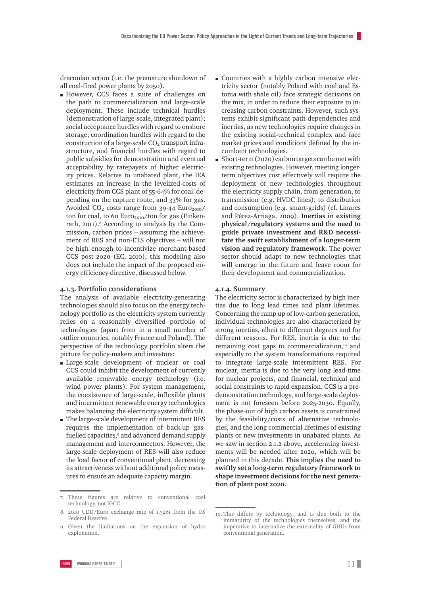draconian action (i.e. the premature shutdown of all coal-fired power plants by 2050).

m However, CCS faces a suite of challenges on the path to commercialization and large-scale deployment. These include technical hurdles (demonstration of large-scale, integrated plant); social acceptance hurdles with regard to onshore storage; coordination hurdles with regard to the construction of a large-scale  $CO<sub>2</sub>$  transport infrastructure, and financial hurdles with regard to public subsidies for demonstration and eventual acceptability by ratepayers of higher electricity prices. Relative to unabated plant, the IEA estimates an increase in the levelized-costs of electricity from CCS plant of 55-64% for coal7 depending on the capture route, and 33% for gas. Avoided  $CO<sub>2</sub> \cos ts$  range from 39-44 Euro<sub>2010</sub>/ ton for coal, to 60  $Euro<sub>2010</sub>/ton$  for gas (Finkenrath, 2011).<sup>8</sup> According to analysis by the Commission, carbon prices – assuming the achievement of RES and non-ETS objectives – will not be high enough to incentivize merchant-based CCS post 2020 (EC, 2010); this modeling also does not include the impact of the proposed energy efficiency directive, discussed below.

#### **4.1.3. Portfolio considerations**

The analysis of available electricity-generating technologies should also focus on the energy technology portfolio as the electricity system currently relies on a reasonably diversified portfolio of technologies (apart from in a small number of outlier countries, notably France and Poland). The perspective of the technology portfolio alters the picture for policy-makers and investors:

- m Large-scale development of nuclear or coal CCS could inhibit the development of currently available renewable energy technology (i.e. wind power plants). For system management, the coexistence of large-scale, inflexible plants and intermittent renewable energy technologies makes balancing the electricity system difficult.
- $\blacksquare$  The large-scale development of intermittent RES requires the implementation of back-up gasfuelled capacities,<sup>9</sup> and advanced demand supply management and interconnectors. However, the large-scale deployment of RES will also reduce the load factor of conventional plant, decreasing its attractiveness without additional policy measures to ensure an adequate capacity margin.
- m Countries with a highly carbon intensive electricity sector (notably Poland with coal and Estonia with shale oil) face strategic decisions on the mix, in order to reduce their exposure to increasing carbon constraints. However, such systems exhibit significant path dependencies and inertias, as new technologies require changes in the existing social-technical complex and face market prices and conditions defined by the incumbent technologies.
- $\blacksquare$  Short-term (2020) carbon targets can be met with existing technologies. However, meeting longerterm objectives cost effectively will require the deployment of new technologies throughout the electricity supply chain, from generation, to transmission (e.g. HVDC lines), to distribution and consumption (e.g. smart-grids) (cf. Linares and Pérez-Arriaga, 2009). **Inertias in existing physical/regulatory systems and the need to guide private investment and R&D necessitate the swift establishment of a longer-term vision and regulatory framework.** The power sector should adapt to new technologies that will emerge in the future and leave room for their development and commercialization.

#### **4.1.4. Summary**

The electricity sector is characterized by high inertias due to long lead times and plant lifetimes. Concerning the ramp up of low-carbon generation, individual technologies are also characterized by strong inertias, albeit to different degrees and for different reasons. For RES, inertia is due to the remaining cost gaps to commercialization, $10^{\circ}$  and especially to the system transformations required to integrate large-scale intermittent RES. For nuclear, inertia is due to the very long lead-time for nuclear projects, and financial, technical and social constraints to rapid expansion. CCS is a predemonstration technology, and large-scale deployment is not foreseen before 2025-2030. Equally, the phase-out of high carbon assets is constrained by the feasibility/costs of alternative technologies, and the long commercial lifetimes of existing plants or new investments in unabated plants. As we saw in section 2.1.2 above, accelerating investments will be needed after 2020, which will be planned in this decade. **This implies the need to swiftly set a long-term regulatory framework to shape investment decisions for the next generation of plant post 2020.**

<sup>7.</sup> These figures are relative to conventional coal technology, not IGCC.

<sup>8.</sup> 2010 UDD/Euro exchange rate of 1.3261 from the US Federal Reserve.

<sup>9.</sup> Given the limitations on the expansion of hydro exploitation.

<sup>10.</sup> This differs by technology, and is due both to the immaturity of the technologies themselves, and the imperative to internalize the externality of GHGs from conventional generation.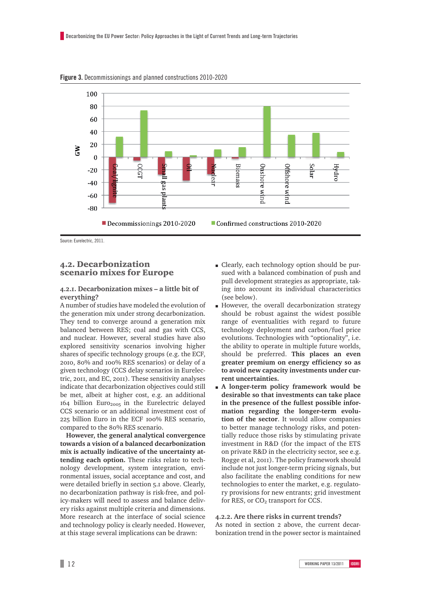

**figure 3.** Decommissionings and planned constructions 2010-2020

Source: Eurelectric, 2011.

#### 4.2. Decarbonization scenario mixes for Europe

#### **4.2.1. Decarbonization mixes – a little bit of everything?**

A number of studies have modeled the evolution of the generation mix under strong decarbonization. They tend to converge around a generation mix balanced between RES; coal and gas with CCS, and nuclear. However, several studies have also explored sensitivity scenarios involving higher shares of specific technology groups (e.g. the ECF, 2010, 80% and 100% RES scenarios) or delay of a given technology (CCS delay scenarios in Eurelectric, 2011, and EC, 2011). These sensitivity analyses indicate that decarbonization objectives could still be met, albeit at higher cost, e.g. an additional 164 billion Euro<sub>2005</sub> in the Eurelectric delayed CCS scenario or an additional investment cost of 225 billion Euro in the ECF 100% RES scenario, compared to the 80% RES scenario.

**However, the general analytical convergence towards a vision of a balanced decarbonization mix is actually indicative of the uncertainty attending each option.** These risks relate to technology development, system integration, environmental issues, social acceptance and cost, and were detailed briefly in section 5.1 above. Clearly, no decarbonization pathway is risk-free, and policy-makers will need to assess and balance delivery risks against multiple criteria and dimensions. More research at the interface of social science and technology policy is clearly needed. However, at this stage several implications can be drawn:

- m Clearly, each technology option should be pursued with a balanced combination of push and pull development strategies as appropriate, taking into account its individual characteristics (see below).
- m However, the overall decarbonization strategy should be robust against the widest possible range of eventualities with regard to future technology deployment and carbon/fuel price evolutions. Technologies with "optionality", i.e. the ability to operate in multiple future worlds, should be preferred. **This places an even greater premium on energy efficiency so as to avoid new capacity investments under current uncertainties.**
- m **A longer-term policy framework would be desirable so that investments can take place in the presence of the fullest possible information regarding the longer-term evolution of the sector**. It would allow companies to better manage technology risks, and potentially reduce those risks by stimulating private investment in R&D (for the impact of the ETS on private R&D in the electricity sector, see e.g. Rogge et al, 2011). The policy framework should include not just longer-term pricing signals, but also facilitate the enabling conditions for new technologies to enter the market, e.g. regulatory provisions for new entrants; grid investment for RES, or CO<sub>2</sub> transport for CCS.

#### **4.2.2. Are there risks in current trends?**

As noted in section 2 above, the current decarbonization trend in the power sector is maintained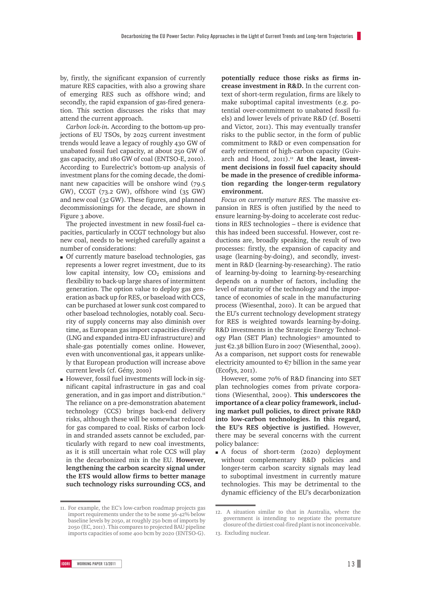by, firstly, the significant expansion of currently mature RES capacities, with also a growing share of emerging RES such as offshore wind; and secondly, the rapid expansion of gas-fired generation. This section discusses the risks that may attend the current approach.

*Carbon lock-in.* According to the bottom-up projections of EU TSOs, by 2025 current investment trends would leave a legacy of roughly 430 GW of unabated fossil fuel capacity, at about 250 GW of gas capacity, and 180 GW of coal (ENTSO-E, 2010). According to Eurelectric's bottom-up analysis of investment plans for the coming decade, the dominant new capacities will be onshore wind (79.5 GW), CCGT (73.2 GW), offshore wind (35 GW) and new coal (32 GW). These figures, and planned decommissionings for the decade, are shown in Figure 3 above.

The projected investment in new fossil-fuel capacities, particularly in CCGT technology but also new coal, needs to be weighed carefully against a number of considerations:

- m Of currently mature baseload technologies, gas represents a lower regret investment, due to its low capital intensity, low CO<sub>2</sub> emissions and flexibility to back-up large shares of intermittent generation. The option value to deploy gas generation as back up for RES, or baseload with CCS, can be purchased at lower sunk cost compared to other baseload technologies, notably coal. Security of supply concerns may also diminish over time, as European gas import capacities diversify (LNG and expanded intra-EU infrastructure) and shale-gas potentially comes online. However, even with unconventional gas, it appears unlikely that European production will increase above current levels (cf. Gény, 2010)
- m However, fossil fuel investments will lock-in significant capital infrastructure in gas and coal generation, and in gas import and distribution.<sup>11</sup> The reliance on a pre-demonstration abatement technology (CCS) brings back-end delivery risks, although these will be somewhat reduced for gas compared to coal. Risks of carbon lockin and stranded assets cannot be excluded, particularly with regard to new coal investments, as it is still uncertain what role CCS will play in the decarbonized mix in the EU. **However, lengthening the carbon scarcity signal under the ETS would allow firms to better manage such technology risks surrounding CCS, and**

11. For example, the EC's low-carbon roadmap projects gas import requirements under the to be some 36-42% below baseline levels by 2050, at roughly 250 bcm of imports by 2050 (EC, 2011). This compares to projected BAU pipeline imports capacities of some 400 bcm by 2020 (ENTSO-G). **potentially reduce those risks as firms increase investment in R&D.** In the current context of short-term regulation, firms are likely to make suboptimal capital investments (e.g. potential over-commitment to unabated fossil fuels) and lower levels of private R&D (cf. Bosetti and Victor, 2011). This may eventually transfer risks to the public sector, in the form of public commitment to R&D or even compensation for early retirement of high-carbon capacity (Guivarch and Hood, 2011).<sup>12</sup> At the least, invest**ment decisions in fossil fuel capacity should be made in the presence of credible information regarding the longer-term regulatory environment.**

*Focus on currently mature RES.* The massive expansion in RES is often justified by the need to ensure learning-by-doing to accelerate cost reductions in RES technologies – there is evidence that this has indeed been successful. However, cost reductions are, broadly speaking, the result of two processes: firstly, the expansion of capacity and usage (learning-by-doing), and secondly, investment in R&D (learning-by-researching). The ratio of learning-by-doing to learning-by-researching depends on a number of factors, including the level of maturity of the technology and the importance of economies of scale in the manufacturing process (Wiesenthal, 2010). It can be argued that the EU's current technology development strategy for RES is weighted towards learning-by-doing. R&D investments in the Strategic Energy Technology Plan (SET Plan) technologies<sup>13</sup> amounted to just €2.38 billion Euro in 2007 (Wiesenthal, 2009). As a comparison, net support costs for renewable electricity amounted to  $\epsilon$ 7 billion in the same year (Ecofys, 2011).

However, some 70% of R&D financing into SET plan technologies comes from private corporations (Wiesenthal, 2009). **This underscores the importance of a clear policy framework, including market pull policies, to direct private R&D into low-carbon technologies. In this regard, the EU's RES objective is justified.** However, there may be several concerns with the current policy balance:

m A focus of short-term (2020) deployment without complementary R&D policies and longer-term carbon scarcity signals may lead to suboptimal investment in currently mature technologies. This may be detrimental to the dynamic efficiency of the EU's decarbonization

<sup>12.</sup> A situation similar to that in Australia, where the government is intending to negotiate the premature closure of the dirtiest coal-fired plant is not inconceivable.

<sup>13.</sup> Excluding nuclear.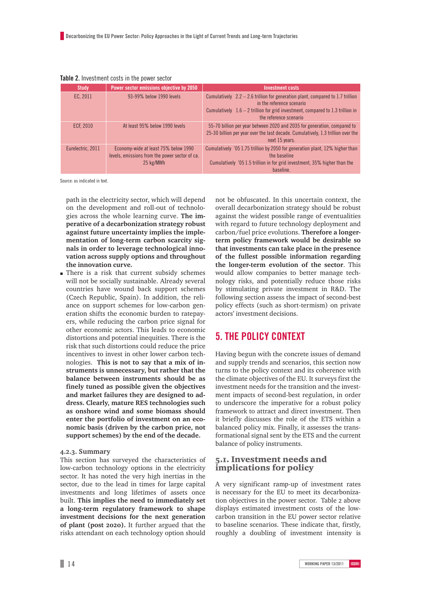| <b>Study</b>      | Power sector emissions objective by 2050                                                            | <b>Investment costs</b>                                                                                                                                                                                                                       |
|-------------------|-----------------------------------------------------------------------------------------------------|-----------------------------------------------------------------------------------------------------------------------------------------------------------------------------------------------------------------------------------------------|
| EC, 2011          | 93-99% below 1990 levels                                                                            | Cumulatively $\epsilon 2.2 - 2.6$ trillion for generation plant, compared to 1.7 trillion<br>in the reference scenario<br>Cumulatively $\bigoplus$ .6 – 2 trillion for grid investment, compared to 1.3 trillion in<br>the reference scenario |
| <b>ECF. 2010</b>  | At least 95% below 1990 levels                                                                      | €5-70 billion per year between 2020 and 2035 for generation, compared to<br>$\epsilon$ 5-30 billion per year over the last decade. Cumulatively, 1.3 trillion over the<br>next 15 years.                                                      |
| Eurelectric, 2011 | Economy-wide at least 75% below 1990<br>levels, emissions from the power sector of ca.<br>25 kg/MWh | Cumulatively $\bigoplus$ 5 1.75 trillion by 2050 for generation plant, 12% higher than<br>the baseline<br>Cumulatively $\bigoplus$ 5 1.5 trillion in for grid investment, 35% higher than the<br>baseline.                                    |

#### **Table 2.** Investment costs in the power sector

Source: as indicated in text.

path in the electricity sector, which will depend on the development and roll-out of technologies across the whole learning curve. **The imperative of a decarbonization strategy robust against future uncertainty implies the implementation of long-term carbon scarcity signals in order to leverage technological innovation across supply options and throughout the innovation curve.**

m There is a risk that current subsidy schemes will not be socially sustainable. Already several countries have wound back support schemes (Czech Republic, Spain). In addition, the reliance on support schemes for low-carbon generation shifts the economic burden to ratepayers, while reducing the carbon price signal for other economic actors. This leads to economic distortions and potential inequities. There is the risk that such distortions could reduce the price incentives to invest in other lower carbon technologies. **This is not to say that a mix of instruments is unnecessary, but rather that the balance between instruments should be as finely tuned as possible given the objectives and market failures they are designed to address. Clearly, mature RES technologies such as onshore wind and some biomass should enter the portfolio of investment on an economic basis (driven by the carbon price, not support schemes) by the end of the decade.** 

#### **4.2.3. Summary**

This section has surveyed the characteristics of low-carbon technology options in the electricity sector. It has noted the very high inertias in the sector, due to the lead in times for large capital investments and long lifetimes of assets once built. **This implies the need to immediately set a long-term regulatory framework to shape investment decisions for the next generation of plant (post 2020).** It further argued that the risks attendant on each technology option should not be obfuscated. In this uncertain context, the overall decarbonization strategy should be robust against the widest possible range of eventualities with regard to future technology deployment and carbon/fuel price evolutions. **Therefore a longerterm policy framework would be desirable so that investments can take place in the presence of the fullest possible information regarding the longer-term evolution of the sector**. This would allow companies to better manage technology risks, and potentially reduce those risks by stimulating private investment in R&D. The following section assess the impact of second-best policy effects (such as short-termism) on private actors' investment decisions.

#### **5. The policy context**

Having begun with the concrete issues of demand and supply trends and scenarios, this section now turns to the policy context and its coherence with the climate objectives of the EU. It surveys first the investment needs for the transition and the investment impacts of second-best regulation, in order to underscore the imperative for a robust policy framework to attract and direct investment. Then it briefly discusses the role of the ETS within a balanced policy mix. Finally, it assesses the transformational signal sent by the ETS and the current balance of policy instruments.

#### 5.1. Investment needs and implications for policy

A very significant ramp-up of investment rates is necessary for the EU to meet its decarbonization objectives in the power sector. Table 2 above displays estimated investment costs of the lowcarbon transition in the EU power sector relative to baseline scenarios. These indicate that, firstly, roughly a doubling of investment intensity is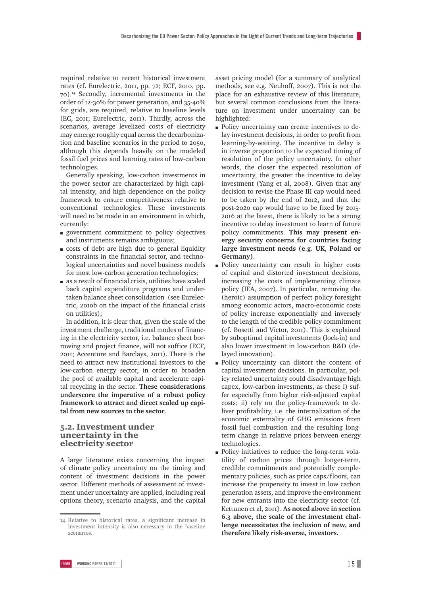required relative to recent historical investment rates (cf. Eurelectric, 2011, pp. 72; ECF, 2010, pp. 70).14 Secondly, incremental investments in the order of 12-30% for power generation, and 35-40% for grids, are required, relative to baseline levels (EC, 2011; Eurelectric, 2011). Thirdly, across the scenarios, average levelized costs of electricity may emerge roughly equal across the decarbonization and baseline scenarios in the period to 2050, although this depends heavily on the modeled fossil fuel prices and learning rates of low-carbon technologies.

Generally speaking, low-carbon investments in the power sector are characterized by high capital intensity, and high dependence on the policy framework to ensure competitiveness relative to conventional technologies. These investments will need to be made in an environment in which, currently:

- m government commitment to policy objectives and instruments remains ambiguous;
- m costs of debt are high due to general liquidity constraints in the financial sector, and technological uncertainties and novel business models for most low-carbon generation technologies;
- m as a result of financial crisis, utilities have scaled back capital expenditure programs and undertaken balance sheet consolidation (see Eurelectric, 2010b on the impact of the financial crisis on utilities);

In addition, it is clear that, given the scale of the investment challenge, traditional modes of financing in the electricity sector, i.e. balance sheet borrowing and project finance, will not suffice (ECF, 2011; Accenture and Barclays, 2011). There is the need to attract new institutional investors to the low-carbon energy sector, in order to broaden the pool of available capital and accelerate capital recycling in the sector. **These considerations underscore the imperative of a robust policy framework to attract and direct scaled up capital from new sources to the sector.**

#### 5.2. Investment under uncertainty in the electricity sector

A large literature exists concerning the impact of climate policy uncertainty on the timing and content of investment decisions in the power sector. Different methods of assessment of investment under uncertainty are applied, including real options theory, scenario analysis, and the capital asset pricing model (for a summary of analytical methods, see e.g. Neuhoff, 2007). This is not the place for an exhaustive review of this literature, but several common conclusions from the literature on investment under uncertainty can be highlighted:

- m Policy uncertainty can create incentives to delay investment decisions, in order to profit from learning-by-waiting. The incentive to delay is in inverse proportion to the expected timing of resolution of the policy uncertainty. In other words, the closer the expected resolution of uncertainty, the greater the incentive to delay investment (Yang et al, 2008). Given that any decision to revise the Phase III cap would need to be taken by the end of 2012, and that the post-2020 cap would have to be fixed by 2015- 2016 at the latest, there is likely to be a strong incentive to delay investment to learn of future policy commitments. **This may present energy security concerns for countries facing large investment needs (e.g. UK, Poland or Germany).**
- m Policy uncertainty can result in higher costs of capital and distorted investment decisions, increasing the costs of implementing climate policy (IEA, 2007). In particular, removing the (heroic) assumption of perfect policy foresight among economic actors, macro-economic costs of policy increase exponentially and inversely to the length of the credible policy commitment (cf. Bosetti and Victor, 2011). This is explained by suboptimal capital investments (lock-in) and also lower investment in low-carbon R&D (delayed innovation).
- m Policy uncertainty can distort the content of capital investment decisions. In particular, policy related uncertainty could disadvantage high capex, low-carbon investments, as these i) suffer especially from higher risk-adjusted capital costs; ii) rely on the policy-framework to deliver profitability, i.e. the internalization of the economic externality of GHG emissions from fossil fuel combustion and the resulting longterm change in relative prices between energy technologies.
- m Policy initiatives to reduce the long-term volatility of carbon prices through longer-term, credible commitments and potentially complementary policies, such as price caps/floors, can increase the propensity to invest in low carbon generation assets, and improve the environment for new entrants into the electricity sector (cf. Kettunen et al, 2011). **As noted above in section 6.3 above, the scale of the investment challenge necessitates the inclusion of new, and therefore likely risk-averse, investors.**

<sup>14.</sup> Relative to historical rates, a significant increase in investment intensity is also necessary in the baseline scenarios.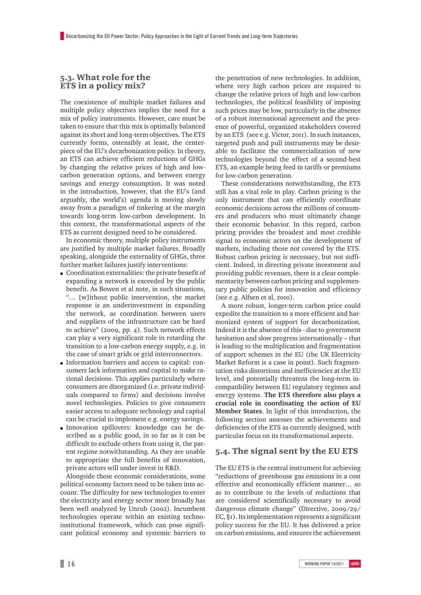#### 5.3. What role for the ETS in a policy mix?

The coexistence of multiple market failures and multiple policy objectives implies the need for a mix of policy instruments. However, care must be taken to ensure that this mix is optimally balanced against its short and long-term objectives. The ETS currently forms, ostensibly at least, the centerpiece of the EU's decarbonization policy. In theory, an ETS can achieve efficient reductions of GHGs by changing the relative prices of high and lowcarbon generation options, and between energy savings and energy consumption. It was noted in the introduction, however, that the EU's (and arguably, the world's) agenda is moving slowly away from a paradigm of tinkering at the margin towards long-term low-carbon development. In this context, the transformational aspects of the ETS as current designed need to be considered.

In economic theory, multiple policy instruments are justified by multiple market failures. Broadly speaking, alongside the externality of GHGs, three further market failures justify interventions:

- m Coordination externalities: the private benefit of expanding a network is exceeded by the public benefit. As Bowen et al note, in such situations, "… [w]ithout public intervention, the market response is an underinvestment in expanding the network, as coordination between users and suppliers of the infrastructure can be hard to achieve" (2009, pp. 4). Such network effects can play a very significant role in retarding the transition to a low-carbon energy supply, e.g. in the case of smart grids or grid interconnectors.
- m Information barriers and access to capital: consumers lack information and capital to make rational decisions. This applies particularly where consumers are disorganized (i.e. private individuals compared to firms) and decisions involve novel technologies. Policies to give consumers easier access to adequate technology and capital can be crucial to implement e.g. energy savings.
- m Innovation spillovers: knowledge can be described as a public good, in so far as it can be difficult to exclude others from using it, the patent regime notwithstanding. As they are unable to appropriate the full benefits of innovation, private actors will under invest in R&D.

Alongside these economic considerations, some political economy factors need to be taken into account. The difficulty for new technologies to enter the electricity and energy sector more broadly has been well analyzed by Unruh (2002). Incumbent technologies operate within an existing technoinstitutional framework, which can pose significant political economy and systemic barriers to

the penetration of new technologies. In addition, where very high carbon prices are required to change the relative prices of high and low-carbon technologies, the political feasibility of imposing such prices may be low, particularly in the absence of a robust international agreement and the presence of powerful, organized stakeholders covered by an ETS (see e.g. Victor, 2011). In such instances, targeted push and pull instruments may be desirable to facilitate the commercialization of new technologies beyond the effect of a second-best ETS, an example being feed in tariffs or premiums for low-carbon generation.

These considerations notwithstanding, the ETS still has a vital role to play. Carbon pricing is the only instrument that can efficiently coordinate economic decisions across the millions of consumers and producers who must ultimately change their economic behavior. In this regard, carbon pricing provides the broadest and most credible signal to economic actors on the development of markets, including those not covered by the ETS. Robust carbon pricing is necessary, but not sufficient. Indeed, in directing private investment and providing public revenues, there is a clear complementarity between carbon pricing and supplementary public policies for innovation and efficiency (see e.g. Alfsen et al, 2010).

A more robust, longer-term carbon price could expedite the transition to a more efficient and harmonized system of support for decarbonization. Indeed it is the absence of this - due to government hesitation and slow progress internationally – that is leading to the multiplication and fragmentation of support schemes in the EU (the UK Electricity Market Reform is a case in point). Such fragmentation risks distortions and inefficiencies at the EU level, and potentially threatens the long-term incompatibility between EU regulatory regimes and energy systems. **The ETS therefore also plays a crucial role in coordinating the action of EU Member States**. In light of this introduction, the following section assesses the achievements and deficiencies of the ETS as currently designed, with particular focus on its transformational aspects.

#### 5.4. The signal sent by the EU ETS

The EU ETS is the central instrument for achieving "reductions of greenhouse gas emissions in a cost effective and economically efficient manner… so as to contribute to the levels of reductions that are considered scientifically necessary to avoid dangerous climate change" (Directive, 2009/29/ EC, §1). Its implementation represents a significant policy success for the EU. It has delivered a price on carbon emissions, and ensures the achievement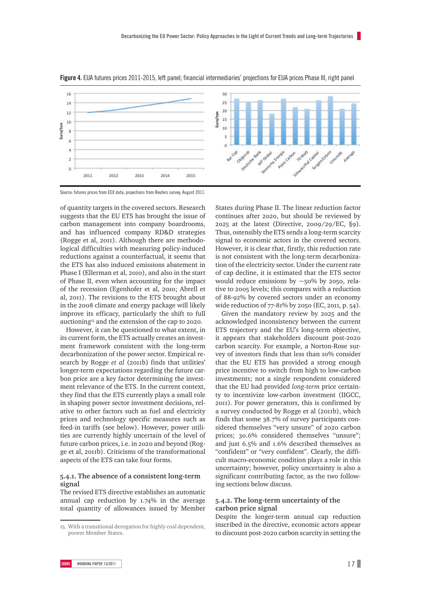

**figure 4.** EUA futures prices 2011-2015, left panel; financial intermediaries' projections for EUA prices Phase III, right panel

Source: futures prices from EEX data; projections from Reuters survey, August 2011.

of quantity targets in the covered sectors. Research suggests that the EU ETS has brought the issue of carbon management into company boardrooms, and has influenced company RD&D strategies (Rogge et al, 2011). Although there are methodological difficulties with measuring policy-induced reductions against a counterfactual, it seems that the ETS has also induced emissions abatement in Phase I (Ellerman et al, 2010), and also in the start of Phase II, even when accounting for the impact of the recession (Egenhofer et al, 2010; Abrell et al, 2011). The revisions to the ETS brought about in the 2008 climate and energy package will likely improve its efficacy, particularly the shift to full auctioning15 and the extension of the cap to 2020.

However, it can be questioned to what extent, in its current form, the ETS actually creates an investment framework consistent with the long-term decarbonization of the power sector. Empirical research by Rogge *et al* (2011b) finds that utilities' longer-term expectations regarding the future carbon price are a key factor determining the investment relevance of the ETS. In the current context, they find that the ETS currently plays a small role in shaping power sector investment decisions, relative to other factors such as fuel and electricity prices and technology specific measures such as feed-in tariffs (see below). However, power utilities are currently highly uncertain of the level of future carbon prices, i.e. in 2020 and beyond (Rogge et al, 2011b). Criticisms of the transformational aspects of the ETS can take four forms.

#### **5.4.1. The absence of a consistent long-term signal**

The revised ETS directive establishes an automatic annual cap reduction by 1.74% in the average total quantity of allowances issued by Member States during Phase II. The linear reduction factor continues after 2020, but should be reviewed by 2025 at the latest (Directive, 2009/29/EC, §9). Thus, ostensibly the ETS sends a long-term scarcity signal to economic actors in the covered sectors. However, it is clear that, firstly, this reduction rate is not consistent with the long-term decarbonization of the electricity sector. Under the current rate of cap decline, it is estimated that the ETS sector would reduce emissions by  $\sim$ 50% by 2050, relative to 2005 levels; this compares with a reduction of 88-92% by covered sectors under an economy wide reduction of 77-81% by 2050 (EC, 2011, p. 54).

Given the mandatory review by 2025 and the acknowledged inconsistency between the current ETS trajectory and the EU's long-term objective, it appears that stakeholders discount post-2020 carbon scarcity. For example, a Norton-Rose survey of investors finds that less than 10% consider that the EU ETS has provided a strong enough price incentive to switch from high to low-carbon investments; not a single respondent considered that the EU had provided *long-term* price certainty to incentivize low-carbon investment (IIGCC, 2011). For power generators, this is confirmed by a survey conducted by Rogge et al (2011b), which finds that some 38.7% of survey participants considered themselves "very unsure" of 2020 carbon prices; 30.6% considered themselves "unsure"; and just 6.5% and 1.6% described themselves as "confident" or "very confident". Clearly, the difficult macro-economic condition plays a role in this uncertainty; however, policy uncertainty is also a significant contributing factor, as the two following sections below discuss.

#### **5.4.2. The long-term uncertainty of the carbon price signal**

Despite the longer-term annual cap reduction inscribed in the directive, economic actors appear to discount post-2020 carbon scarcity in setting the

<sup>15.</sup> With a transitional derogation for highly coal dependent, poorer Member States.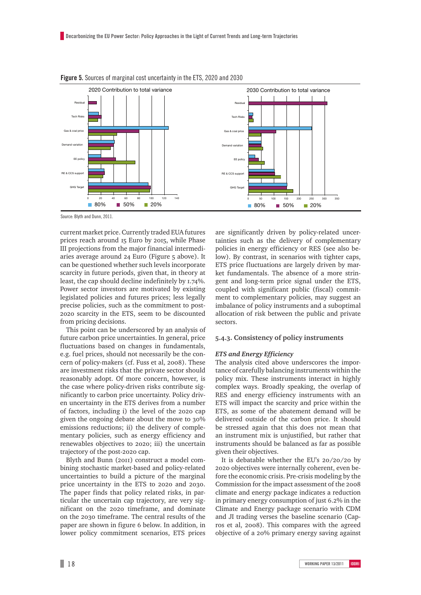

**Figure 5.** Sources of marginal cost uncertainty in the ETS, 2020 and 2030

Source: Blyth and Dunn, 2011.

current market price. Currently traded EUA futures prices reach around 15 Euro by 2015, while Phase III projections from the major financial intermediaries average around 24 Euro (Figure 5 above). It can be questioned whether such levels incorporate scarcity in future periods, given that, in theory at least, the cap should decline indefinitely by 1.74%. Power sector investors are motivated by existing legislated policies and futures prices; less legally precise policies, such as the commitment to post-2020 scarcity in the ETS, seem to be discounted from pricing decisions.

This point can be underscored by an analysis of future carbon price uncertainties. In general, price fluctuations based on changes in fundamentals, e.g. fuel prices, should not necessarily be the concern of policy-makers (cf. Fuss et al, 2008). These are investment risks that the private sector should reasonably adopt. Of more concern, however, is the case where policy-driven risks contribute significantly to carbon price uncertainty. Policy driven uncertainty in the ETS derives from a number of factors, including i) the level of the 2020 cap given the ongoing debate about the move to 30% emissions reductions; ii) the delivery of complementary policies, such as energy efficiency and renewables objectives to 2020; iii) the uncertain trajectory of the post-2020 cap.

Blyth and Bunn (2011) construct a model combining stochastic market-based and policy-related uncertainties to build a picture of the marginal price uncertainty in the ETS to 2020 and 2030. The paper finds that policy related risks, in particular the uncertain cap trajectory, are very significant on the 2020 timeframe, and dominate on the 2030 timeframe. The central results of the paper are shown in figure 6 below. In addition, in lower policy commitment scenarios, ETS prices

are significantly driven by policy-related uncertainties such as the delivery of complementary policies in energy efficiency or RES (see also below). By contrast, in scenarios with tighter caps, ETS price fluctuations are largely driven by market fundamentals. The absence of a more stringent and long-term price signal under the ETS, coupled with significant public (fiscal) commitment to complementary policies, may suggest an imbalance of policy instruments and a suboptimal allocation of risk between the public and private sectors.

#### **5.4.3. Consistency of policy instruments**

#### *ETS and Energy Efficiency*

The analysis cited above underscores the importance of carefully balancing instruments within the policy mix. These instruments interact in highly complex ways. Broadly speaking, the overlap of RES and energy efficiency instruments with an ETS will impact the scarcity and price within the ETS, as some of the abatement demand will be delivered outside of the carbon price. It should be stressed again that this does not mean that an instrument mix is unjustified, but rather that instruments should be balanced as far as possible given their objectives.

It is debatable whether the EU's 20/20/20 by 2020 objectives were internally coherent, even before the economic crisis. Pre-crisis modeling by the Commission for the impact assessment of the 2008 climate and energy package indicates a reduction in primary energy consumption of just 6.2% in the Climate and Energy package scenario with CDM and JI trading verses the baseline scenario (Capros et al, 2008). This compares with the agreed objective of a 20% primary energy saving against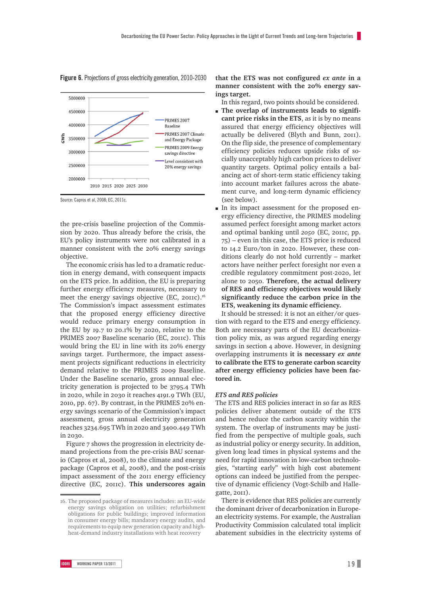

**figure 6.** Projections of gross electricity generation, 2010-2030

Source: Capros et al, 2008; EC, 2011c.

the pre-crisis baseline projection of the Commission by 2020. Thus already before the crisis, the EU's policy instruments were not calibrated in a manner consistent with the 20% energy savings objective.

The economic crisis has led to a dramatic reduction in energy demand, with consequent impacts on the ETS price. In addition, the EU is preparing further energy efficiency measures, necessary to meet the energy savings objective (EC, 2011c).<sup>16</sup> The Commission's impact assessment estimates that the proposed energy efficiency directive would reduce primary energy consumption in the EU by 19.7 to 20.1% by 2020, relative to the PRIMES 2007 Baseline scenario (EC, 2011c). This would bring the EU in line with its 20% energy savings target. Furthermore, the impact assessment projects significant reductions in electricity demand relative to the PRIMES 2009 Baseline. Under the Baseline scenario, gross annual electricity generation is projected to be 3795.4 TWh in 2020, while in 2030 it reaches 4191.9 TWh (EU, 2010, pp. 67). By contrast, in the PRIMES 20% energy savings scenario of the Commission's impact assessment, gross annual electricity generation reaches 3234.695 TWh in 2020 and 3400.449 TWh in 2030.

Figure 7 shows the progression in electricity demand projections from the pre-crisis BAU scenario (Capros et al, 2008), to the climate and energy package (Capros et al, 2008), and the post-crisis impact assessment of the 2011 energy efficiency directive (EC, 2011c). **This underscores again**  **that the ETS was not configured** *ex ante* **in a manner consistent with the 20% energy savings target.**

In this regard, two points should be considered.

- The overlap of instruments leads to signifi**cant price risks in the ETS**, as it is by no means assured that energy efficiency objectives will actually be delivered (Blyth and Bunn, 2011). On the flip side, the presence of complementary efficiency policies reduces upside risks of socially unacceptably high carbon prices to deliver quantity targets. Optimal policy entails a balancing act of short-term static efficiency taking into account market failures across the abatement curve, and long-term dynamic efficiency (see below).
- In its impact assessment for the proposed energy efficiency directive, the PRIMES modeling assumed perfect foresight among market actors and optimal banking until 2050 (EC, 2011c, pp. 75) – even in this case, the ETS price is reduced to 14.2 Euro/ton in 2020. However, these conditions clearly do not hold currently – market actors have neither perfect foresight nor even a credible regulatory commitment post-2020, let alone to 2050. **Therefore, the actual delivery of RES and efficiency objectives would likely significantly reduce the carbon price in the ETS, weakening its dynamic efficiency.**

It should be stressed: it is not an either/or question with regard to the ETS and energy efficiency. Both are necessary parts of the EU decarbonization policy mix, as was argued regarding energy savings in section 4 above. However, in designing overlapping instruments **it is necessary** *ex ante* **to calibrate the ETS to generate carbon scarcity after energy efficiency policies have been factored in.** 

#### *ETS and RES policies*

The ETS and RES policies interact in so far as RES policies deliver abatement outside of the ETS and hence reduce the carbon scarcity within the system. The overlap of instruments may be justified from the perspective of multiple goals, such as industrial policy or energy security. In addition, given long lead times in physical systems and the need for rapid innovation in low-carbon technologies, "starting early" with high cost abatement options can indeed be justified from the perspective of dynamic efficiency (Vogt-Schilb and Hallegatte, 2011).

There is evidence that RES policies are currently the dominant driver of decarbonization in European electricity systems. For example, the Australian Productivity Commission calculated total implicit abatement subsidies in the electricity systems of

<sup>16.</sup> The proposed package of measures includes: an EU-wide energy savings obligation on utilities; refurbishment obligations for public buildings; improved information in consumer energy bills; mandatory energy audits, and requirements to equip new generation capacity and highheat-demand industry installations with heat recovery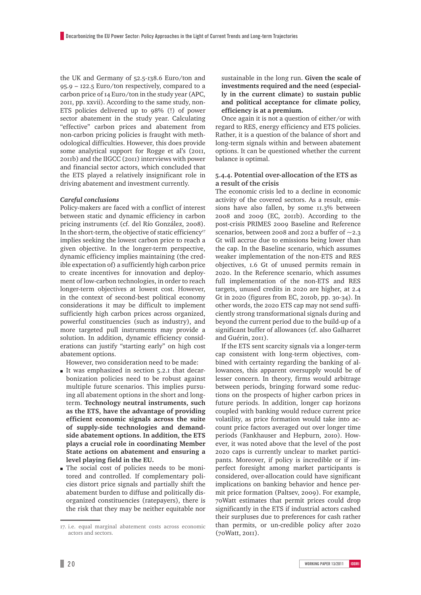the UK and Germany of 52.5-138.6 Euro/ton and 95.9 – 122.5 Euro/ton respectively, compared to a carbon price of 14 Euro/ton in the study year (APC, 2011, pp. xxvii). According to the same study, non-ETS policies delivered up to 98% (!) of power sector abatement in the study year. Calculating "effective" carbon prices and abatement from non-carbon pricing policies is fraught with methodological difficulties. However, this does provide some analytical support for Rogge et al's (2011, 2011b) and the IIGCC (2011) interviews with power and financial sector actors, which concluded that the ETS played a relatively insignificant role in driving abatement and investment currently.

#### *Careful conclusions*

Policy-makers are faced with a conflict of interest between static and dynamic efficiency in carbon pricing instruments (cf. del Río González, 2008). In the short-term, the objective of static efficiency<sup>17</sup> implies seeking the lowest carbon price to reach a given objective. In the longer-term perspective, dynamic efficiency implies maintaining (the credible expectation of) a sufficiently high carbon price to create incentives for innovation and deployment of low-carbon technologies, in order to reach longer-term objectives at lowest cost. However, in the context of second-best political economy considerations it may be difficult to implement sufficiently high carbon prices across organized, powerful constituencies (such as industry), and more targeted pull instruments may provide a solution. In addition, dynamic efficiency considerations can justify "starting early" on high cost abatement options.

However, two consideration need to be made:

- m It was emphasized in section 5.2.1 that decarbonization policies need to be robust against multiple future scenarios. This implies pursuing all abatement options in the short and longterm. **Technology neutral instruments, such as the ETS, have the advantage of providing efficient economic signals across the suite of supply-side technologies and demandside abatement options. In addition, the ETS plays a crucial role in coordinating Member State actions on abatement and ensuring a level playing field in the EU.**
- m The social cost of policies needs to be monitored and controlled. If complementary policies distort price signals and partially shift the abatement burden to diffuse and politically disorganized constituencies (ratepayers), there is the risk that they may be neither equitable nor

sustainable in the long run. **Given the scale of investments required and the need (especially in the current climate) to sustain public and political acceptance for climate policy, efficiency is at a premium.** 

Once again it is not a question of either/or with regard to RES, energy efficiency and ETS policies. Rather, it is a question of the balance of short and long-term signals within and between abatement options. It can be questioned whether the current balance is optimal.

#### **5.4.4. Potential over-allocation of the ETS as a result of the crisis**

The economic crisis led to a decline in economic activity of the covered sectors. As a result, emissions have also fallen, by some 11.3% between 2008 and 2009 (EC, 2011b). According to the post-crisis PRIMES 2009 Baseline and Reference scenarios, between 2008 and 2012 a buffer of  $\sim$ 2.3 Gt will accrue due to emissions being lower than the cap. In the Baseline scenario, which assumes weaker implementation of the non-ETS and RES objectives, 1.6 Gt of unused permits remain in 2020. In the Reference scenario, which assumes full implementation of the non-ETS and RES targets, unused credits in 2020 are higher, at 2.4 Gt in 2020 (figures from EC, 2010b, pp. 30-34). In other words, the 2020 ETS cap may not send sufficiently strong transformational signals during and beyond the current period due to the build-up of a significant buffer of allowances (cf. also Galharret and Guérin, 2011).

If the ETS sent scarcity signals via a longer-term cap consistent with long-term objectives, combined with certainty regarding the banking of allowances, this apparent oversupply would be of lesser concern. In theory, firms would arbitrage between periods, bringing forward some reductions on the prospects of higher carbon prices in future periods. In addition, longer cap horizons coupled with banking would reduce current price volatility, as price formation would take into account price factors averaged out over longer time periods (Fankhauser and Hepburn, 2010). However, it was noted above that the level of the post 2020 caps is currently unclear to market participants. Moreover, if policy is incredible or if imperfect foresight among market participants is considered, over-allocation could have significant implications on banking behavior and hence permit price formation (Paltsev, 2009). For example, 70Watt estimates that permit prices could drop significantly in the ETS if industrial actors cashed their surpluses due to preferences for cash rather than permits, or un-credible policy after 2020 (70Watt, 2011).

<sup>17.</sup> i.e. equal marginal abatement costs across economic actors and sectors.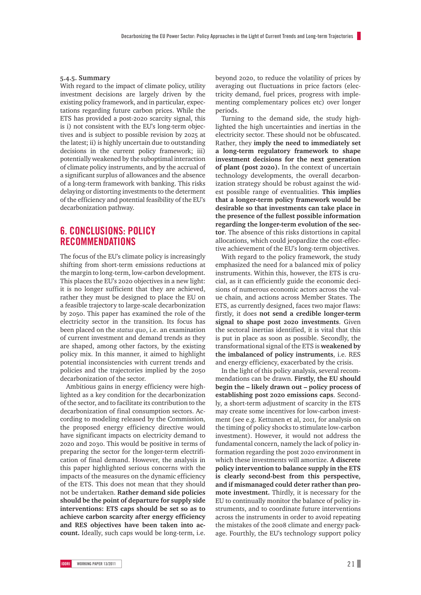#### **5.4.5. Summary**

With regard to the impact of climate policy, utility investment decisions are largely driven by the existing policy framework, and in particular, expectations regarding future carbon prices. While the ETS has provided a post-2020 scarcity signal, this is i) not consistent with the EU's long-term objectives and is subject to possible revision by 2025 at the latest; ii) is highly uncertain due to outstanding decisions in the current policy framework; iii) potentially weakened by the suboptimal interaction of climate policy instruments, and by the accrual of a significant surplus of allowances and the absence of a long-term framework with banking. This risks delaying or distorting investments to the determent of the efficiency and potential feasibility of the EU's decarbonization pathway.

#### **6. ConclusionS: policy recommendations**

The focus of the EU's climate policy is increasingly shifting from short-term emissions reductions at the margin to long-term, low-carbon development. This places the EU's 2020 objectives in a new light: it is no longer sufficient that they are achieved, rather they must be designed to place the EU on a feasible trajectory to large-scale decarbonization by 2050. This paper has examined the role of the electricity sector in the transition. Its focus has been placed on the *status quo*, i.e. an examination of current investment and demand trends as they are shaped, among other factors, by the existing policy mix. In this manner, it aimed to highlight potential inconsistencies with current trends and policies and the trajectories implied by the 2050 decarbonization of the sector.

Ambitious gains in energy efficiency were highlighted as a key condition for the decarbonization of the sector, and to facilitate its contribution to the decarbonization of final consumption sectors. According to modeling released by the Commission, the proposed energy efficiency directive would have significant impacts on electricity demand to 2020 and 2030. This would be positive in terms of preparing the sector for the longer-term electrification of final demand. However, the analysis in this paper highlighted serious concerns with the impacts of the measures on the dynamic efficiency of the ETS. This does not mean that they should not be undertaken. **Rather demand side policies should be the point of departure for supply side interventions: ETS caps should be set so as to achieve carbon scarcity after energy efficiency and RES objectives have been taken into account.** Ideally, such caps would be long-term, i.e. beyond 2020, to reduce the volatility of prices by averaging out fluctuations in price factors (electricity demand, fuel prices, progress with implementing complementary polices etc) over longer periods.

Turning to the demand side, the study highlighted the high uncertainties and inertias in the electricity sector. These should not be obfuscated. Rather, they **imply the need to immediately set a long-term regulatory framework to shape investment decisions for the next generation of plant (post 2020).** In the context of uncertain technology developments, the overall decarbonization strategy should be robust against the widest possible range of eventualities. **This implies that a longer-term policy framework would be desirable so that investments can take place in the presence of the fullest possible information regarding the longer-term evolution of the sector**. The absence of this risks distortions in capital allocations, which could jeopardize the cost-effective achievement of the EU's long-term objectives.

With regard to the policy framework, the study emphasized the need for a balanced mix of policy instruments. Within this, however, the ETS is crucial, as it can efficiently guide the economic decisions of numerous economic actors across the value chain, and actions across Member States. The ETS, as currently designed, faces two major flaws: firstly, it does **not send a credible longer-term signal to shape post 2020 investments**. Given the sectoral inertias identified, it is vital that this is put in place as soon as possible. Secondly, the transformational signal of the ETS is **weakened by the imbalanced of policy instruments**, i.e. RES and energy efficiency, exacerbated by the crisis.

In the light of this policy analysis, several recommendations can be drawn. **Firstly, the EU should begin the – likely drawn out – policy process of establishing post 2020 emissions caps**. Secondly, a short-term adjustment of scarcity in the ETS may create some incentives for low-carbon investment (see e.g. Kettunen et al, 2011, for analysis on the timing of policy shocks to stimulate low-carbon investment). However, it would not address the fundamental concern, namely the lack of policy information regarding the post 2020 environment in which these investments will amortize. **A discrete policy intervention to balance supply in the ETS is clearly second-best from this perspective, and if mismanaged could deter rather than promote investment.** Thirdly, it is necessary for the EU to continually monitor the balance of policy instruments, and to coordinate future interventions across the instruments in order to avoid repeating the mistakes of the 2008 climate and energy package. Fourthly, the EU's technology support policy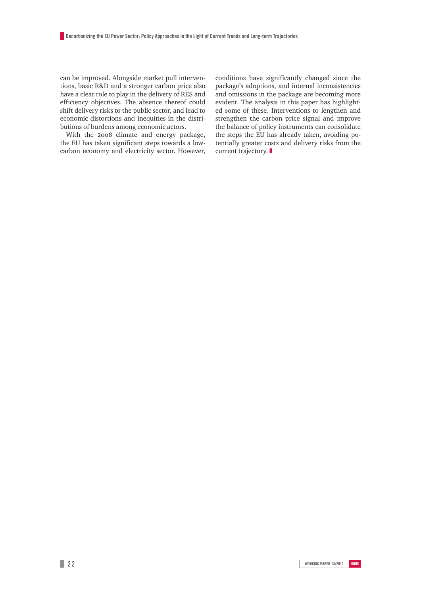can be improved. Alongside market pull interventions, basic R&D and a stronger carbon price also have a clear role to play in the delivery of RES and efficiency objectives. The absence thereof could shift delivery risks to the public sector, and lead to economic distortions and inequities in the distributions of burdens among economic actors.

With the 2008 climate and energy package, the EU has taken significant steps towards a lowcarbon economy and electricity sector. However, conditions have significantly changed since the package's adoptions, and internal inconsistencies and omissions in the package are becoming more evident. The analysis in this paper has highlighted some of these. Interventions to lengthen and strengthen the carbon price signal and improve the balance of policy instruments can consolidate the steps the EU has already taken, avoiding potentially greater costs and delivery risks from the current trajectory.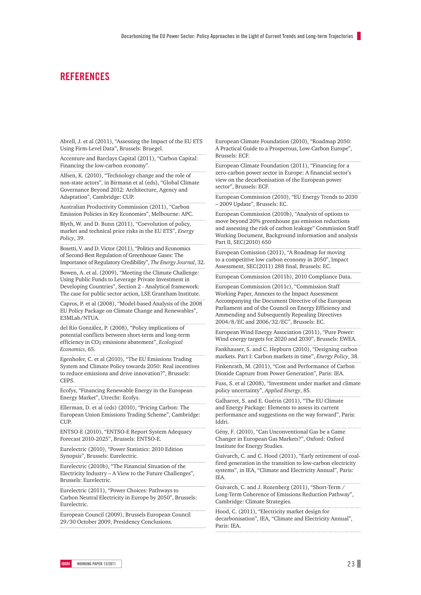#### **References**

Abrell, J. et al (2011), "Assessing the Impact of the EU ETS Using Firm-Level Data", Brussels: Bruegel.

Accenture and Barclays Capital (2011), "Carbon Capital: Financing the low-carbon economy".

Alfsen, K. (2010), "Technology change and the role of non-state actors", in Birmann et al (eds), "Global Climate Governance Beyond 2012: Architecture, Agency and Adaptation", Cambridge: CUP.

Australian Productivity Commission (2011), "Carbon Emission Policies in Key Economies", Melbourne: APC.

Blyth, W. and D. Bunn (2011), "Coevolution of policy, market and technical price risks in the EU ETS", *Energy Policy*, 39.

Bosetti, V. and D. Victor (2011), "Politics and Economics of Second-Best Regulation of Greenhouse Gases: The Importance of Regulatory Credibility", *The Energy Journal*, 32.

Bowen, A. et al. (2009), "Meeting the Climate Challenge: Using Public Funds to Leverage Private Investment in Developing Countries", Section 2 - Analytical framework: The case for public sector action, LSE Grantham Institute.

Capros, P. et al (2008), "Model-based Analysis of the 2008 EU Policy Package on Climate Change and Renewables", E3MLab/NTUA.

del Río González, P. (2008), "Policy implications of potential conflicts between short-term and long-term efficiency in CO2 emissions abatement", *Ecological Economics*, 65.

Egenhofer, C. et al (2010), "The EU Emissions Trading System and Climate Policy towards 2050: Real incentives to reduce emissions and drive innovation?", Brussels: CEPS.

Ecofys, "Financing Renewable Energy in the European Energy Market", Utrecht: Ecofys.

Ellerman, D. et al (eds) (2010), "Pricing Carbon: The European Union Emissions Trading Scheme", Cambridge: CUP.

ENTSO-E (2010), "ENTSO-E Report System Adequacy Forecast 2010-2025", Brussels: ENTSO-E.

Eurelectric (2010), "Power Statistics: 2010 Edition Synopsis", Brussels: Eurelectric.

Eurelectric (2010b), "The Financial Situation of the Electricity Industry – A View to the Future Challenges", Brussels: Eurelectric.

Eurelectric (2011), "Power Choices: Pathways to Carbon Neutral Electricity in Europe by 2050", Brussels: Eurelectric.

European Council (2009), Brussels European Council 29/30 October 2009, Presidency Conclusions.

European Climate Foundation (2010), "Roadmap 2050: A Practical Guide to a Prosperous, Low-Carbon Europe", Brussels: ECF.

European Climate Foundation (2011), "Financing for a zero-carbon power sector in Europe: A financial sector's view on the decarbonisation of the European power sector", Brussels: ECF.

European Commission (2010), "EU Energy Trends to 2030 – 2009 Update", Brussels: EC.

European Commission (2010b), "Analysis of options to move beyond 20% greenhouse gas emission reductions and assessing the risk of carbon leakage" Commission Staff Working Document, Background information and analysis Part II, SEC(2010) 650

European Comission (2011), "A Roadmap for moving to a competitive low carbon economy in 2050", Impact Assessment, SEC(2011) 288 final, Brussels: EC.

European Commission (2011b), 2010 Compliance Data.

European Commission (2011c), "Commission Staff Working Paper, Annexes to the Impact Assessment Accompanying the Document Directive of the European Parliament and of the Council on Energy Efficiency and Ammending and Subsequently Repealing Directives 2004/8/EC and 2006/32/EC", Brussels: EC.

European Wind Energy Association (2011), "Pure Power: Wind energy targets for 2020 and 2030", Brussels: EWEA.

Fankhauser, S. and C. Hepburn (2010), "Designing carbon markets. Part I: Carbon markets in time", *Energy Policy*, 38.

Finkenrath, M. (2011), "Cost and Performance of Carbon Dioxide Capture from Power Generation", Paris: IEA.

Fuss, S. et al (2008), "Investment under market and climate policy uncertainty", *Applied Energy*, 85.

Galharret, S. and E. Guérin (2011), "The EU Climate and Energy Package: Elements to assess its current performance and suggestions on the way forward", Paris: Iddri.

Gény, F. (2010), "Can Unconventional Gas be a Game Changer in European Gas Markets?", Oxford: Oxford Institute for Energy Studies.

Guivarch, C. and C. Hood (2011), "Early retirement of coalfired generation in the transition to low-carbon electricity systems", in IEA, "Climate and Electricity Annual", Paris: IEA.

Guivarch, C. and J. Rozenberg (2011), "Short-Term / Long-Term Coherence of Emissions Reduction Pathway", Cambridge: Climate Strategies.

Hood, C. (2011), "Electricity market design for decarbonisation", IEA, "Climate and Electricity Annual", Paris: IEA.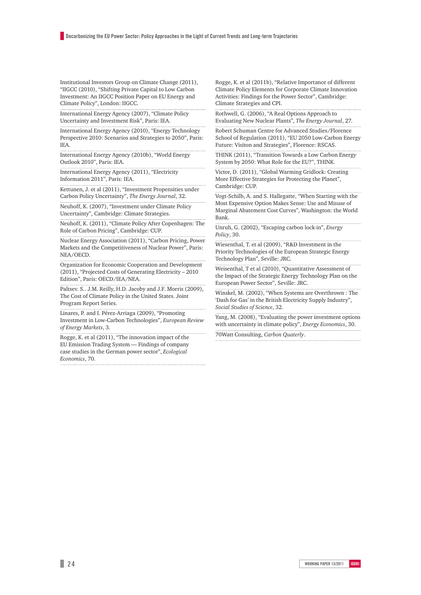Institutional Investors Group on Climate Change (2011), "IIGCC (2010), "Shifting Private Capital to Low Carbon Investment: An IIGCC Position Paper on EU Energy and Climate Policy", London: IIGCC.

International Energy Agency (2007), "Climate Policy Uncertainty and Investment Risk", Paris: IEA.

International Energy Agency (2010), "Energy Technology Perspective 2010: Scenarios and Strategies to 2050", Paris: IEA.

International Energy Agency (2010b), "World Energy Outlook 2010", Paris: IEA.

International Energy Agency (2011), "Electricity Information 2011", Paris: IEA.

Kettunen, J. et al (2011), "Investment Propensities under Carbon Policy Uncertainty", *The Energy Journal*, 32.

Neuhoff, K. (2007), "Investment under Climate Policy Uncertainty", Cambridge: Climate Strategies.

Neuhoff, K. (2011), "Climate Policy After Copenhagen: The Role of Carbon Pricing", Cambridge: CUP.

Nuclear Energy Association (2011), "Carbon Pricing, Power Markets and the Competitiveness of Nuclear Power", Paris: NEA/OECD.

Organization for Economic Cooperation and Development (2011), "Projected Costs of Generating Electricity – 2010 Edition", Paris: OECD/IEA/NEA.

Paltsev. S.. J.M. Reilly, H.D. Jacoby and J.F. Morris (2009), The Cost of Climate Policy in the United States. Joint Program Report Series.

Linares, P. and I. Pérez-Arriaga (2009), "Promoting Investment in Low-Carbon Technologies", *European Review of Energy Markets*, 3.

Rogge, K. et al (2011), "The innovation impact of the EU Emission Trading System — Findings of company case studies in the German power sector", *Ecological Economics*, 70.

Rogge, K. et al (2011b), "Relative Importance of different Climate Policy Elements for Corporate Climate Innovation Activities: Findings for the Power Sector", Cambridge: Climate Strategies and CPI.

Rothwell, G. (2006), "A Real Options Approach to Evaluating New Nuclear Plants", *The Energy Journal*, 27.

Robert Schuman Centre for Advanced Studies/Florence School of Regulation (2011), "EU 2050 Low-Carbon Energy Future: Visiton and Strategies", Florence: RSCAS.

THINK (2011), "Transition Towards a Low Carbon Energy System by 2050: What Role for the EU?", THINK.

Victor, D. (2011), "Global Warming Gridlock: Creating More Effective Strategies for Protecting the Planet", Cambridge: CUP.

Vogt-Schilb, A. and S. Hallegatte, "When Starting with the Most Expensive Option Makes Sense: Use and Misuse of Marginal Abatement Cost Curves", Washington: the World Bank.

Unruh, G. (2002), "Escaping carbon lock-in", *Energy Policy*, 30.

Wiesenthal, T. et al (2009), "R&D Investment in the Priority Technologies of the European Strategic Energy Technology Plan", Seville: JRC.

Weisenthal, T et al (2010), "Quantitative Assessment of the Impact of the Strategic Energy Technology Plan on the European Power Sector", Seville: JRC.

Winskel, M. (2002), "When Systems are Overthrown : The 'Dash for Gas' in the British Electricity Supply Industry", *Social Studies of Science*, 32.

Yang, M. (2008), "Evaluating the power investment options with uncertainty in climate policy", *Energy Economics*, 30.

70Watt Consulting, *Carbon Quaterly*.